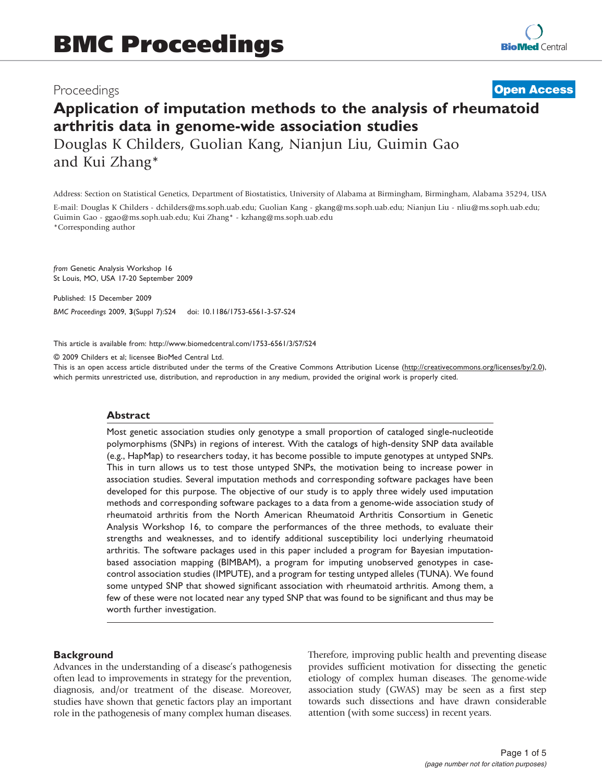# Proceedings

# Application of imputation methods to the analysis of rheumatoid arthritis data in genome-wide association studies Douglas K Childers, Guolian Kang, Nianjun Liu, Guimin Gao and Kui Zhang\* **[Open Access](http://www.biomedcentral.com/info/about/charter/)**

Address: Section on Statistical Genetics, Department of Biostatistics, University of Alabama at Birmingham, Birmingham, Alabama 35294, USA

E-mail: Douglas K Childers - [dchilders@ms.soph.uab.edu;](mailto:dchilders@ms.soph.uab.edu) Guolian Kang - [gkang@ms.soph.uab.edu](mailto:gkang@ms.soph.uab.edu); Nianjun Liu - [nliu@ms.soph.uab.edu](mailto:nliu@ms.soph.uab.edu); Guimin Gao - [ggao@ms.soph.uab.edu](mailto:ggao@ms.soph.uab.edu); Kui Zhang\* - [kzhang@ms.soph.uab.edu](mailto:kzhang@ms.soph.uab.edu)

\*Corresponding author

from Genetic Analysis Workshop 16 St Louis, MO, USA 17-20 September 2009

Published: 15 December 2009 BMC Proceedings 2009, 3(Suppl 7):S24 doi: 10.1186/1753-6561-3-S7-S24

This article is available from: http://www.biomedcentral.com/1753-6561/3/S7/S24

© 2009 Childers et al; licensee BioMed Central Ltd.

This is an open access article distributed under the terms of the Creative Commons Attribution License [\(http://creativecommons.org/licenses/by/2.0\)](http://creativecommons.org/licenses/by/2.0), which permits unrestricted use, distribution, and reproduction in any medium, provided the original work is properly cited.

#### Abstract

Most genetic association studies only genotype a small proportion of cataloged single-nucleotide polymorphisms (SNPs) in regions of interest. With the catalogs of high-density SNP data available (e.g., HapMap) to researchers today, it has become possible to impute genotypes at untyped SNPs. This in turn allows us to test those untyped SNPs, the motivation being to increase power in association studies. Several imputation methods and corresponding software packages have been developed for this purpose. The objective of our study is to apply three widely used imputation methods and corresponding software packages to a data from a genome-wide association study of rheumatoid arthritis from the North American Rheumatoid Arthritis Consortium in Genetic Analysis Workshop 16, to compare the performances of the three methods, to evaluate their strengths and weaknesses, and to identify additional susceptibility loci underlying rheumatoid arthritis. The software packages used in this paper included a program for Bayesian imputationbased association mapping (BIMBAM), a program for imputing unobserved genotypes in casecontrol association studies (IMPUTE), and a program for testing untyped alleles (TUNA). We found some untyped SNP that showed significant association with rheumatoid arthritis. Among them, a few of these were not located near any typed SNP that was found to be significant and thus may be worth further investigation.

#### **Background**

Advances in the understanding of a disease's pathogenesis often lead to improvements in strategy for the prevention, diagnosis, and/or treatment of the disease. Moreover, studies have shown that genetic factors play an important role in the pathogenesis of many complex human diseases. Therefore, improving public health and preventing disease provides sufficient motivation for dissecting the genetic etiology of complex human diseases. The genome-wide association study (GWAS) may be seen as a first step towards such dissections and have drawn considerable attention (with some success) in recent years.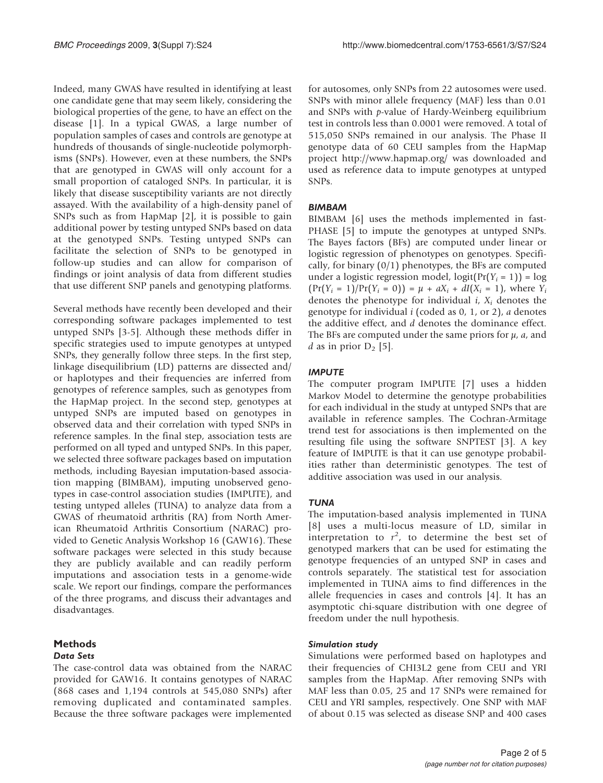Indeed, many GWAS have resulted in identifying at least one candidate gene that may seem likely, considering the biological properties of the gene, to have an effect on the disease [[1](#page-4-0)]. In a typical GWAS, a large number of population samples of cases and controls are genotype at hundreds of thousands of single-nucleotide polymorphisms (SNPs). However, even at these numbers, the SNPs that are genotyped in GWAS will only account for a small proportion of cataloged SNPs. In particular, it is likely that disease susceptibility variants are not directly assayed. With the availability of a high-density panel of SNPs such as from HapMap [\[2\]](#page-4-0), it is possible to gain additional power by testing untyped SNPs based on data at the genotyped SNPs. Testing untyped SNPs can facilitate the selection of SNPs to be genotyped in follow-up studies and can allow for comparison of findings or joint analysis of data from different studies that use different SNP panels and genotyping platforms.

Several methods have recently been developed and their corresponding software packages implemented to test untyped SNPs [\[3-5](#page-4-0)]. Although these methods differ in specific strategies used to impute genotypes at untyped SNPs, they generally follow three steps. In the first step, linkage disequilibrium (LD) patterns are dissected and/ or haplotypes and their frequencies are inferred from genotypes of reference samples, such as genotypes from the HapMap project. In the second step, genotypes at untyped SNPs are imputed based on genotypes in observed data and their correlation with typed SNPs in reference samples. In the final step, association tests are performed on all typed and untyped SNPs. In this paper, we selected three software packages based on imputation methods, including Bayesian imputation-based association mapping (BIMBAM), imputing unobserved genotypes in case-control association studies (IMPUTE), and testing untyped alleles (TUNA) to analyze data from a GWAS of rheumatoid arthritis (RA) from North American Rheumatoid Arthritis Consortium (NARAC) provided to Genetic Analysis Workshop 16 (GAW16). These software packages were selected in this study because they are publicly available and can readily perform imputations and association tests in a genome-wide scale. We report our findings, compare the performances of the three programs, and discuss their advantages and disadvantages.

# Methods

#### Data Sets

The case-control data was obtained from the NARAC provided for GAW16. It contains genotypes of NARAC (868 cases and 1,194 controls at 545,080 SNPs) after removing duplicated and contaminated samples. Because the three software packages were implemented for autosomes, only SNPs from 22 autosomes were used. SNPs with minor allele frequency (MAF) less than 0.01 and SNPs with p-value of Hardy-Weinberg equilibrium test in controls less than 0.0001 were removed. A total of 515,050 SNPs remained in our analysis. The Phase II genotype data of 60 CEU samples from the HapMap project<http://www.hapmap.org/> was downloaded and used as reference data to impute genotypes at untyped SNPs.

## BIMBAM

BIMBAM [\[6\]](#page-4-0) uses the methods implemented in fast-PHASE [[5\]](#page-4-0) to impute the genotypes at untyped SNPs. The Bayes factors (BFs) are computed under linear or logistic regression of phenotypes on genotypes. Specifically, for binary  $(0/1)$  phenotypes, the BFs are computed under a logistic regression model,  $logit(Pr(Y_i = 1)) = log$  $(\Pr(Y_i = 1)/\Pr(Y_i = 0)) = \mu + aX_i + dI(X_i = 1)$ , where  $Y_i$ denotes the phenotype for individual  $i$ ,  $X_i$  denotes the genotype for individual  $i$  (coded as 0, 1, or 2),  $\alpha$  denotes the additive effect, and d denotes the dominance effect. The BFs are computed under the same priors for  $\mu$ ,  $\alpha$ , and d as in prior  $D_2$  [[5](#page-4-0)].

## IMPUTE

The computer program IMPUTE [\[7\]](#page-4-0) uses a hidden Markov Model to determine the genotype probabilities for each individual in the study at untyped SNPs that are available in reference samples. The Cochran-Armitage trend test for associations is then implemented on the resulting file using the software SNPTEST [\[3\]](#page-4-0). A key feature of IMPUTE is that it can use genotype probabilities rather than deterministic genotypes. The test of additive association was used in our analysis.

#### **TUNA**

The imputation-based analysis implemented in TUNA [[8](#page-4-0)] uses a multi-locus measure of LD, similar in interpretation to  $r^2$ , to determine the best set of genotyped markers that can be used for estimating the genotype frequencies of an untyped SNP in cases and controls separately. The statistical test for association implemented in TUNA aims to find differences in the allele frequencies in cases and controls [[4](#page-4-0)]. It has an asymptotic chi-square distribution with one degree of freedom under the null hypothesis.

#### Simulation study

Simulations were performed based on haplotypes and their frequencies of CHI3L2 gene from CEU and YRI samples from the HapMap. After removing SNPs with MAF less than 0.05, 25 and 17 SNPs were remained for CEU and YRI samples, respectively. One SNP with MAF of about 0.15 was selected as disease SNP and 400 cases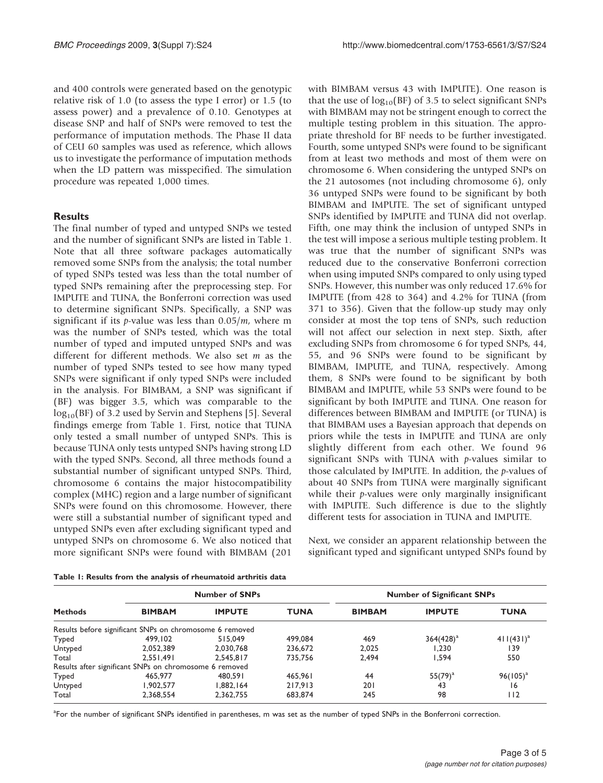and 400 controls were generated based on the genotypic relative risk of 1.0 (to assess the type I error) or 1.5 (to assess power) and a prevalence of 0.10. Genotypes at disease SNP and half of SNPs were removed to test the performance of imputation methods. The Phase II data of CEU 60 samples was used as reference, which allows us to investigate the performance of imputation methods when the LD pattern was misspecified. The simulation procedure was repeated 1,000 times.

#### **Results**

The final number of typed and untyped SNPs we tested and the number of significant SNPs are listed in Table 1. Note that all three software packages automatically removed some SNPs from the analysis; the total number of typed SNPs tested was less than the total number of typed SNPs remaining after the preprocessing step. For IMPUTE and TUNA, the Bonferroni correction was used to determine significant SNPs. Specifically, a SNP was significant if its *p*-value was less than  $0.05/m$ , where m was the number of SNPs tested, which was the total number of typed and imputed untyped SNPs and was different for different methods. We also set m as the number of typed SNPs tested to see how many typed SNPs were significant if only typed SNPs were included in the analysis. For BIMBAM, a SNP was significant if (BF) was bigger 3.5, which was comparable to the log<sub>10</sub>(BF) of 3.2 used by Servin and Stephens [\[5\]](#page-4-0). Several findings emerge from Table 1. First, notice that TUNA only tested a small number of untyped SNPs. This is because TUNA only tests untyped SNPs having strong LD with the typed SNPs. Second, all three methods found a substantial number of significant untyped SNPs. Third, chromosome 6 contains the major histocompatibility complex (MHC) region and a large number of significant SNPs were found on this chromosome. However, there were still a substantial number of significant typed and untyped SNPs even after excluding significant typed and untyped SNPs on chromosome 6. We also noticed that more significant SNPs were found with BIMBAM (201

with BIMBAM versus 43 with IMPUTE). One reason is that the use of  $log_{10}(BF)$  of 3.5 to select significant SNPs with BIMBAM may not be stringent enough to correct the multiple testing problem in this situation. The appropriate threshold for BF needs to be further investigated. Fourth, some untyped SNPs were found to be significant from at least two methods and most of them were on chromosome 6. When considering the untyped SNPs on the 21 autosomes (not including chromosome 6), only 36 untyped SNPs were found to be significant by both BIMBAM and IMPUTE. The set of significant untyped SNPs identified by IMPUTE and TUNA did not overlap. Fifth, one may think the inclusion of untyped SNPs in the test will impose a serious multiple testing problem. It was true that the number of significant SNPs was reduced due to the conservative Bonferroni correction when using imputed SNPs compared to only using typed SNPs. However, this number was only reduced 17.6% for IMPUTE (from 428 to 364) and 4.2% for TUNA (from 371 to 356). Given that the follow-up study may only consider at most the top tens of SNPs, such reduction will not affect our selection in next step. Sixth, after excluding SNPs from chromosome 6 for typed SNPs, 44, 55, and 96 SNPs were found to be significant by BIMBAM, IMPUTE, and TUNA, respectively. Among them, 8 SNPs were found to be significant by both BIMBAM and IMPUTE, while 53 SNPs were found to be significant by both IMPUTE and TUNA. One reason for differences between BIMBAM and IMPUTE (or TUNA) is that BIMBAM uses a Bayesian approach that depends on priors while the tests in IMPUTE and TUNA are only slightly different from each other. We found 96 significant SNPs with TUNA with  $p$ -values similar to those calculated by IMPUTE. In addition, the p-values of about 40 SNPs from TUNA were marginally significant while their *p*-values were only marginally insignificant with IMPUTE. Such difference is due to the slightly different tests for association in TUNA and IMPUTE.

Next, we consider an apparent relationship between the significant typed and significant untyped SNPs found by

| <b>Methods</b> | <b>Number of SNPs</b>                                   |               |             | <b>Number of Significant SNPs</b> |                |                |
|----------------|---------------------------------------------------------|---------------|-------------|-----------------------------------|----------------|----------------|
|                | <b>BIMBAM</b>                                           | <b>IMPUTE</b> | <b>TUNA</b> | <b>BIMBAM</b>                     | <b>IMPUTE</b>  | <b>TUNA</b>    |
|                | Results before significant SNPs on chromosome 6 removed |               |             |                                   |                |                |
| Typed          | 499.102                                                 | 515,049       | 499,084     | 469                               | $364(428)^{a}$ | $411(431)^{a}$ |
| Untyped        | 2.052.389                                               | 2.030.768     | 236,672     | 2.025                             | 1.230          | 139            |
| Total          | 2.551.491                                               | 2.545.817     | 735.756     | 2.494                             | 1.594          | 550            |
|                | Results after significant SNPs on chromosome 6 removed  |               |             |                                   |                |                |
| Typed          | 465,977                                                 | 480.591       | 465.961     | 44                                | $55(79)^{a}$   | $96(105)^{a}$  |
| Untyped        | 1.902.577                                               | 1.882.164     | 217.913     | 201                               | 43             | 16             |
| Total          | 2,368,554                                               | 2,362,755     | 683,874     | 245                               | 98             | 112            |

Table 1: Results from the analysis of rheumatoid arthritis data

<sup>a</sup>For the number of significant SNPs identified in parentheses, m was set as the number of typed SNPs in the Bonferroni correction.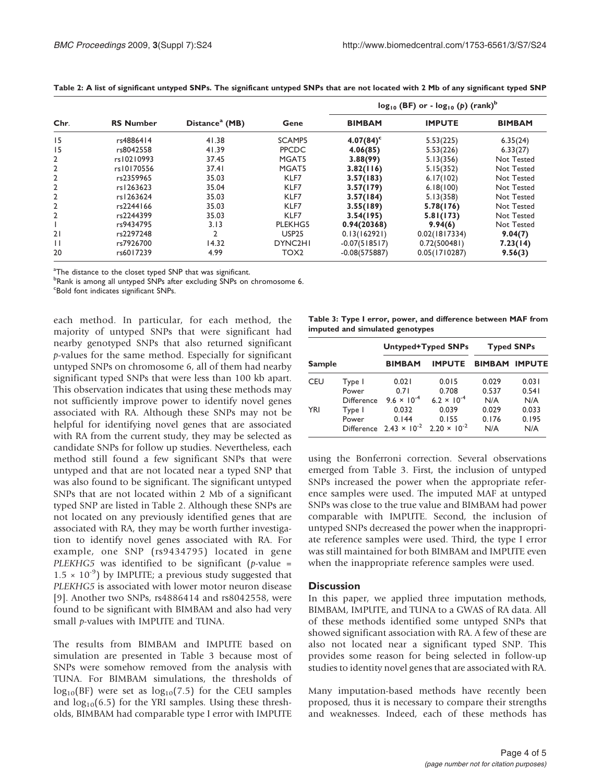|              |                  |                            |                      | $log_{10}$ (BF) or - $log_{10}$ (p) (rank) <sup>b</sup> |               |               |
|--------------|------------------|----------------------------|----------------------|---------------------------------------------------------|---------------|---------------|
| Chr.         | <b>RS Number</b> | Distance <sup>a</sup> (MB) | Gene                 | <b>BIMBAM</b>                                           | <b>IMPUTE</b> | <b>BIMBAM</b> |
| 15           | rs4886414        | 41.38                      | SCAMP5               | $4.07(84)^c$                                            | 5.53(225)     | 6.35(24)      |
| 15           | rs8042558        | 41.39                      | <b>PPCDC</b>         | 4.06(85)                                                | 5.53(226)     | 6.33(27)      |
| 2            | rs10210993       | 37.45                      | MGAT5                | 3.88(99)                                                | 5.13(356)     | Not Tested    |
| 2            | rs10170556       | 37.41                      | MGAT5                | 3.82(116)                                               | 5.15(352)     | Not Tested    |
| $\mathbf{2}$ | rs2359965        | 35.03                      | KLF7                 | 3.57(183)                                               | 6.17(102)     | Not Tested    |
| 2            | rs1263623        | 35.04                      | KLF7                 | 3.57(179)                                               | 6.18(100)     | Not Tested    |
| 2            | rs1263624        | 35.03                      | KLF7                 | 3.57(184)                                               | 5.13(358)     | Not Tested    |
| 2            | rs2244166        | 35.03                      | KLF7                 | 3.55(189)                                               | 5.78(176)     | Not Tested    |
| 2            | rs2244399        | 35.03                      | KLF7                 | 3.54(195)                                               | 5.81(173)     | Not Tested    |
|              | rs9434795        | 3.13                       | PLEKHG5              | 0.94(20368)                                             | 9.94(6)       | Not Tested    |
| 21           | rs2297248        | 2                          | <b>USP25</b>         | 0.13(162921)                                            | 0.02(1817334) | 9.04(7)       |
| $\mathbf{1}$ | rs7926700        | 14.32                      | DYNC <sub>2</sub> HI | $-0.07(518517)$                                         | 0.72(500481)  | 7.23(14)      |
| 20           | rs6017239        | 4.99                       | TOX <sub>2</sub>     | $-0.08(575887)$                                         | 0.05(1710287) | 9.56(3)       |

Table 2: A list of significant untyped SNPs. The significant untyped SNPs that are not located with 2 Mb of any significant typed SNP

<sup>a</sup>The distance to the closet typed SNP that was significant.

**PRank is among all untyped SNPs after excluding SNPs on chromosome 6.** 

c Bold font indicates significant SNPs.

each method. In particular, for each method, the majority of untyped SNPs that were significant had nearby genotyped SNPs that also returned significant p-values for the same method. Especially for significant untyped SNPs on chromosome 6, all of them had nearby significant typed SNPs that were less than 100 kb apart. This observation indicates that using these methods may not sufficiently improve power to identify novel genes associated with RA. Although these SNPs may not be helpful for identifying novel genes that are associated with RA from the current study, they may be selected as candidate SNPs for follow up studies. Nevertheless, each method still found a few significant SNPs that were untyped and that are not located near a typed SNP that was also found to be significant. The significant untyped SNPs that are not located within 2 Mb of a significant typed SNP are listed in Table 2. Although these SNPs are not located on any previously identified genes that are associated with RA, they may be worth further investigation to identify novel genes associated with RA. For example, one SNP (rs9434795) located in gene PLEKHG5 was identified to be significant (*p*-value =  $1.5 \times 10^{-9}$ ) by IMPUTE; a previous study suggested that PLEKHG5 is associated with lower motor neuron disease [[9](#page-4-0)]. Another two SNPs, rs4886414 and rs8042558, were found to be significant with BIMBAM and also had very small *p*-values with IMPUTE and TUNA.

The results from BIMBAM and IMPUTE based on simulation are presented in Table 3 because most of SNPs were somehow removed from the analysis with TUNA. For BIMBAM simulations, the thresholds of  $log_{10}(BF)$  were set as  $log_{10}(7.5)$  for the CEU samples and  $log_{10}(6.5)$  for the YRI samples. Using these thresholds, BIMBAM had comparable type I error with IMPUTE

Table 3: Type I error, power, and difference between MAF from imputed and simulated genotypes

|               |                                      |                                                                          | Untyped+Typed SNPs                     | <b>Typed SNPs</b>     |                       |
|---------------|--------------------------------------|--------------------------------------------------------------------------|----------------------------------------|-----------------------|-----------------------|
| <b>Sample</b> |                                      | <b>BIMBAM</b>                                                            | <b>IMPUTE</b>                          | <b>BIMBAM</b>         | <b>IMPUTE</b>         |
| CEU           | Type I<br>Power<br><b>Difference</b> | 0.021<br>0.71<br>$9.6 \times 10^{-4}$                                    | 0.015<br>0.708<br>$6.2 \times 10^{-4}$ | 0.029<br>0.537<br>N/A | 0.031<br>0.541<br>N/A |
| YRI           | Type I<br>Power                      | 0.032<br>0.144<br>Difference $2.43 \times 10^{-2}$ 2.20 $\times 10^{-2}$ | 0.039<br>0.155                         | 0.029<br>0.176<br>N/A | 0.033<br>0.195<br>N/A |

using the Bonferroni correction. Several observations emerged from Table 3. First, the inclusion of untyped SNPs increased the power when the appropriate reference samples were used. The imputed MAF at untyped SNPs was close to the true value and BIMBAM had power comparable with IMPUTE. Second, the inclusion of untyped SNPs decreased the power when the inappropriate reference samples were used. Third, the type I error was still maintained for both BIMBAM and IMPUTE even when the inappropriate reference samples were used.

# **Discussion**

In this paper, we applied three imputation methods, BIMBAM, IMPUTE, and TUNA to a GWAS of RA data. All of these methods identified some untyped SNPs that showed significant association with RA. A few of these are also not located near a significant typed SNP. This provides some reason for being selected in follow-up studies to identity novel genes that are associated with RA.

Many imputation-based methods have recently been proposed, thus it is necessary to compare their strengths and weaknesses. Indeed, each of these methods has